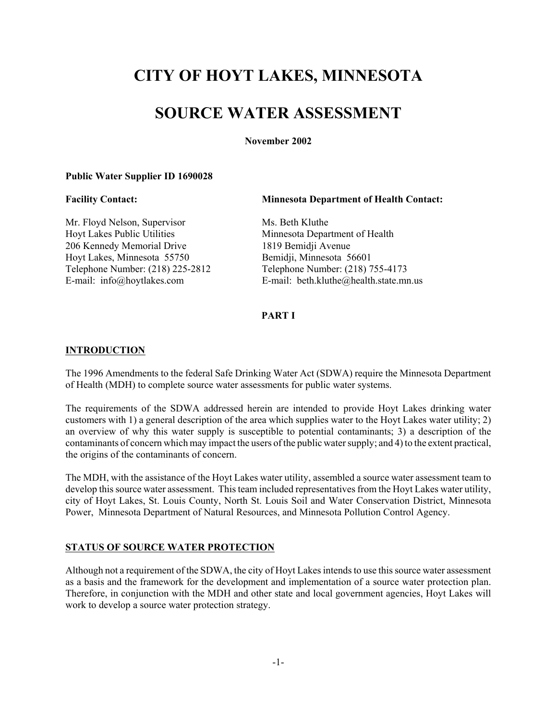# **CITY OF HOYT LAKES, MINNESOTA**

# **SOURCE WATER ASSESSMENT**

**November 2002**

#### **Public Water Supplier ID 1690028**

**Facility Contact: Minnesota Department of Health Contact:**

Mr. Floyd Nelson, Supervisor Ms. Beth Kluthe Hoyt Lakes Public Utilities Minnesota Department of Health 206 Kennedy Memorial Drive 1819 Bemidji Avenue<br>Hoyt Lakes, Minnesota 55750 Bemidji, Minnesota 56601 Hoyt Lakes, Minnesota 55750

Telephone Number: (218) 225-2812 Telephone Number: (218) 755-4173 E-mail: info@hoytlakes.com E-mail: beth.kluthe@health.state.mn.us

# **PART I**

### **INTRODUCTION**

The 1996 Amendments to the federal Safe Drinking Water Act (SDWA) require the Minnesota Department of Health (MDH) to complete source water assessments for public water systems.

The requirements of the SDWA addressed herein are intended to provide Hoyt Lakes drinking water customers with 1) a general description of the area which supplies water to the Hoyt Lakes water utility; 2) an overview of why this water supply is susceptible to potential contaminants; 3) a description of the contaminants of concern which may impact the users of the public water supply; and 4) to the extent practical, the origins of the contaminants of concern.

The MDH, with the assistance of the Hoyt Lakes water utility, assembled a source water assessment team to develop this source water assessment. This team included representatives from the Hoyt Lakes water utility, city of Hoyt Lakes, St. Louis County, North St. Louis Soil and Water Conservation District, Minnesota Power, Minnesota Department of Natural Resources, and Minnesota Pollution Control Agency.

#### **STATUS OF SOURCE WATER PROTECTION**

Although not a requirement of the SDWA, the city of Hoyt Lakes intends to use this source water assessment as a basis and the framework for the development and implementation of a source water protection plan. Therefore, in conjunction with the MDH and other state and local government agencies, Hoyt Lakes will work to develop a source water protection strategy.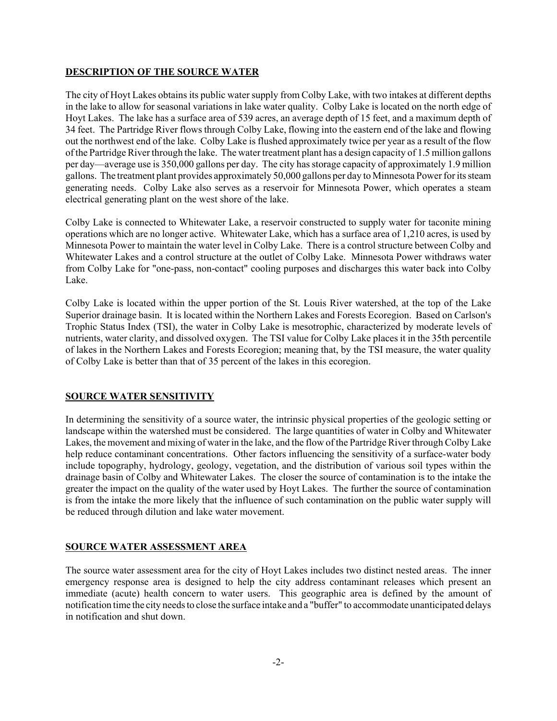# **DESCRIPTION OF THE SOURCE WATER**

The city of Hoyt Lakes obtains its public water supply from Colby Lake, with two intakes at different depths in the lake to allow for seasonal variations in lake water quality. Colby Lake is located on the north edge of Hoyt Lakes. The lake has a surface area of 539 acres, an average depth of 15 feet, and a maximum depth of 34 feet. The Partridge River flows through Colby Lake, flowing into the eastern end of the lake and flowing out the northwest end of the lake. Colby Lake is flushed approximately twice per year as a result of the flow of the Partridge River through the lake. The water treatment plant has a design capacity of 1.5 million gallons per day—average use is 350,000 gallons per day. The city has storage capacity of approximately 1.9 million gallons. The treatment plant provides approximately 50,000 gallons per day to Minnesota Power for its steam generating needs. Colby Lake also serves as a reservoir for Minnesota Power, which operates a steam electrical generating plant on the west shore of the lake.

Colby Lake is connected to Whitewater Lake, a reservoir constructed to supply water for taconite mining operations which are no longer active. Whitewater Lake, which has a surface area of 1,210 acres, is used by Minnesota Power to maintain the water level in Colby Lake. There is a control structure between Colby and Whitewater Lakes and a control structure at the outlet of Colby Lake. Minnesota Power withdraws water from Colby Lake for "one-pass, non-contact" cooling purposes and discharges this water back into Colby Lake.

Colby Lake is located within the upper portion of the St. Louis River watershed, at the top of the Lake Superior drainage basin. It is located within the Northern Lakes and Forests Ecoregion. Based on Carlson's Trophic Status Index (TSI), the water in Colby Lake is mesotrophic, characterized by moderate levels of nutrients, water clarity, and dissolved oxygen. The TSI value for Colby Lake places it in the 35th percentile of lakes in the Northern Lakes and Forests Ecoregion; meaning that, by the TSI measure, the water quality of Colby Lake is better than that of 35 percent of the lakes in this ecoregion.

# **SOURCE WATER SENSITIVITY**

In determining the sensitivity of a source water, the intrinsic physical properties of the geologic setting or landscape within the watershed must be considered. The large quantities of water in Colby and Whitewater Lakes, the movement and mixing of water in the lake, and the flow of the Partridge River through Colby Lake help reduce contaminant concentrations. Other factors influencing the sensitivity of a surface-water body include topography, hydrology, geology, vegetation, and the distribution of various soil types within the drainage basin of Colby and Whitewater Lakes. The closer the source of contamination is to the intake the greater the impact on the quality of the water used by Hoyt Lakes. The further the source of contamination is from the intake the more likely that the influence of such contamination on the public water supply will be reduced through dilution and lake water movement.

#### **SOURCE WATER ASSESSMENT AREA**

The source water assessment area for the city of Hoyt Lakes includes two distinct nested areas. The inner emergency response area is designed to help the city address contaminant releases which present an immediate (acute) health concern to water users. This geographic area is defined by the amount of notification time the city needs to close the surface intake and a "buffer" to accommodate unanticipated delays in notification and shut down.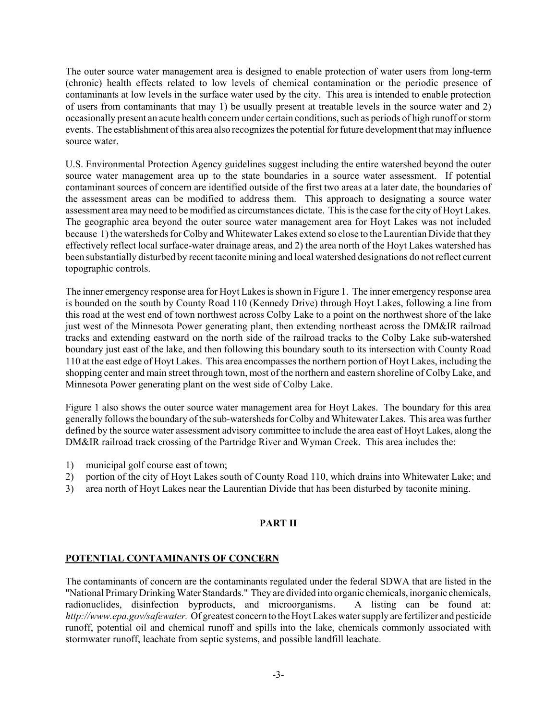The outer source water management area is designed to enable protection of water users from long-term (chronic) health effects related to low levels of chemical contamination or the periodic presence of contaminants at low levels in the surface water used by the city. This area is intended to enable protection of users from contaminants that may 1) be usually present at treatable levels in the source water and 2) occasionally present an acute health concern under certain conditions, such as periods of high runoff or storm events. The establishment of this area also recognizes the potential for future development that may influence source water.

U.S. Environmental Protection Agency guidelines suggest including the entire watershed beyond the outer source water management area up to the state boundaries in a source water assessment. If potential contaminant sources of concern are identified outside of the first two areas at a later date, the boundaries of the assessment areas can be modified to address them. This approach to designating a source water assessment area may need to be modified as circumstances dictate. This is the case for the city of Hoyt Lakes. The geographic area beyond the outer source water management area for Hoyt Lakes was not included because 1) the watersheds for Colby and Whitewater Lakes extend so close to the Laurentian Divide that they effectively reflect local surface-water drainage areas, and 2) the area north of the Hoyt Lakes watershed has been substantially disturbed by recent taconite mining and local watershed designations do not reflect current topographic controls.

The inner emergency response area for Hoyt Lakes is shown in Figure 1. The inner emergency response area is bounded on the south by County Road 110 (Kennedy Drive) through Hoyt Lakes, following a line from this road at the west end of town northwest across Colby Lake to a point on the northwest shore of the lake just west of the Minnesota Power generating plant, then extending northeast across the DM&IR railroad tracks and extending eastward on the north side of the railroad tracks to the Colby Lake sub-watershed boundary just east of the lake, and then following this boundary south to its intersection with County Road 110 at the east edge of Hoyt Lakes. This area encompasses the northern portion of Hoyt Lakes, including the shopping center and main street through town, most of the northern and eastern shoreline of Colby Lake, and Minnesota Power generating plant on the west side of Colby Lake.

Figure 1 also shows the outer source water management area for Hoyt Lakes. The boundary for this area generally follows the boundary of the sub-watersheds for Colby and Whitewater Lakes. This area was further defined by the source water assessment advisory committee to include the area east of Hoyt Lakes, along the DM&IR railroad track crossing of the Partridge River and Wyman Creek. This area includes the:

- 1) municipal golf course east of town;
- 2) portion of the city of Hoyt Lakes south of County Road 110, which drains into Whitewater Lake; and
- 3) area north of Hoyt Lakes near the Laurentian Divide that has been disturbed by taconite mining.

# **PART II**

# **POTENTIAL CONTAMINANTS OF CONCERN**

The contaminants of concern are the contaminants regulated under the federal SDWA that are listed in the "National Primary Drinking Water Standards." They are divided into organic chemicals, inorganic chemicals, radionuclides, disinfection byproducts, and microorganisms. A listing can be found at: *http://www.epa.gov/safewater.* Of greatest concern to the Hoyt Lakes water supply are fertilizer and pesticide runoff, potential oil and chemical runoff and spills into the lake, chemicals commonly associated with stormwater runoff, leachate from septic systems, and possible landfill leachate.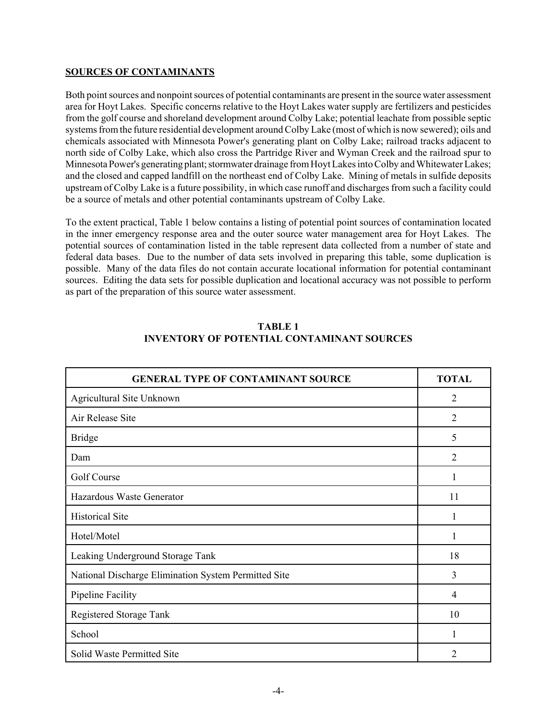# **SOURCES OF CONTAMINANTS**

Both point sources and nonpoint sources of potential contaminants are present in the source water assessment area for Hoyt Lakes. Specific concerns relative to the Hoyt Lakes water supply are fertilizers and pesticides from the golf course and shoreland development around Colby Lake; potential leachate from possible septic systems from the future residential development around Colby Lake (most of which is now sewered); oils and chemicals associated with Minnesota Power's generating plant on Colby Lake; railroad tracks adjacent to north side of Colby Lake, which also cross the Partridge River and Wyman Creek and the railroad spur to Minnesota Power's generating plant; stormwater drainage from Hoyt Lakes into Colby and Whitewater Lakes; and the closed and capped landfill on the northeast end of Colby Lake. Mining of metals in sulfide deposits upstream of Colby Lake is a future possibility, in which case runoff and discharges from such a facility could be a source of metals and other potential contaminants upstream of Colby Lake.

To the extent practical, Table 1 below contains a listing of potential point sources of contamination located in the inner emergency response area and the outer source water management area for Hoyt Lakes. The potential sources of contamination listed in the table represent data collected from a number of state and federal data bases. Due to the number of data sets involved in preparing this table, some duplication is possible. Many of the data files do not contain accurate locational information for potential contaminant sources. Editing the data sets for possible duplication and locational accuracy was not possible to perform as part of the preparation of this source water assessment.

| <b>GENERAL TYPE OF CONTAMINANT SOURCE</b>            | <b>TOTAL</b>   |
|------------------------------------------------------|----------------|
| Agricultural Site Unknown                            | $\overline{2}$ |
| Air Release Site                                     | $\overline{2}$ |
| <b>Bridge</b>                                        | 5              |
| Dam                                                  | $\overline{2}$ |
| Golf Course                                          | 1              |
| Hazardous Waste Generator                            | 11             |
| <b>Historical Site</b>                               |                |
| Hotel/Motel                                          | 1              |
| Leaking Underground Storage Tank                     | 18             |
| National Discharge Elimination System Permitted Site | 3              |
| Pipeline Facility                                    | 4              |
| Registered Storage Tank                              | 10             |
| School                                               | 1              |
| Solid Waste Permitted Site                           | 2              |

# **TABLE 1 INVENTORY OF POTENTIAL CONTAMINANT SOURCES**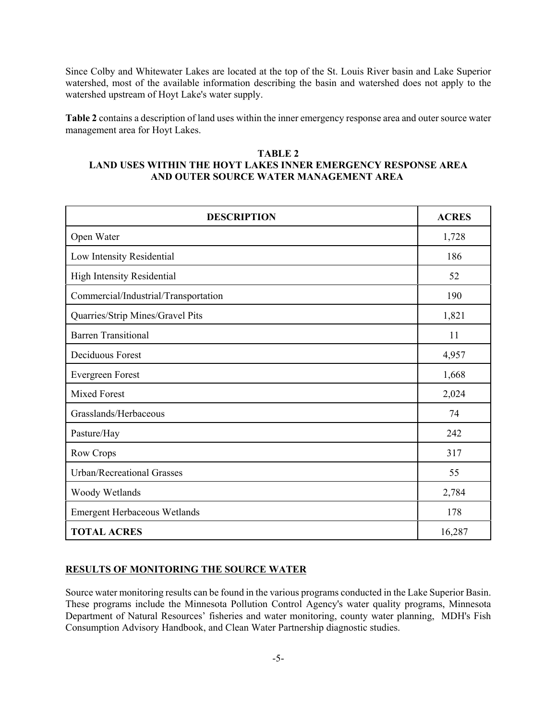Since Colby and Whitewater Lakes are located at the top of the St. Louis River basin and Lake Superior watershed, most of the available information describing the basin and watershed does not apply to the watershed upstream of Hoyt Lake's water supply.

**Table 2** contains a description of land uses within the inner emergency response area and outer source water management area for Hoyt Lakes.

## **TABLE 2 LAND USES WITHIN THE HOYT LAKES INNER EMERGENCY RESPONSE AREA AND OUTER SOURCE WATER MANAGEMENT AREA**

| <b>DESCRIPTION</b>                   | <b>ACRES</b> |
|--------------------------------------|--------------|
| Open Water                           | 1,728        |
| Low Intensity Residential            | 186          |
| <b>High Intensity Residential</b>    | 52           |
| Commercial/Industrial/Transportation | 190          |
| Quarries/Strip Mines/Gravel Pits     | 1,821        |
| <b>Barren Transitional</b>           | 11           |
| Deciduous Forest                     | 4,957        |
| Evergreen Forest                     | 1,668        |
| <b>Mixed Forest</b>                  | 2,024        |
| Grasslands/Herbaceous                | 74           |
| Pasture/Hay                          | 242          |
| Row Crops                            | 317          |
| Urban/Recreational Grasses           | 55           |
| Woody Wetlands                       | 2,784        |
| <b>Emergent Herbaceous Wetlands</b>  | 178          |
| <b>TOTAL ACRES</b>                   | 16,287       |

# **RESULTS OF MONITORING THE SOURCE WATER**

Source water monitoring results can be found in the various programs conducted in the Lake Superior Basin. These programs include the Minnesota Pollution Control Agency's water quality programs, Minnesota Department of Natural Resources' fisheries and water monitoring, county water planning, MDH's Fish Consumption Advisory Handbook, and Clean Water Partnership diagnostic studies.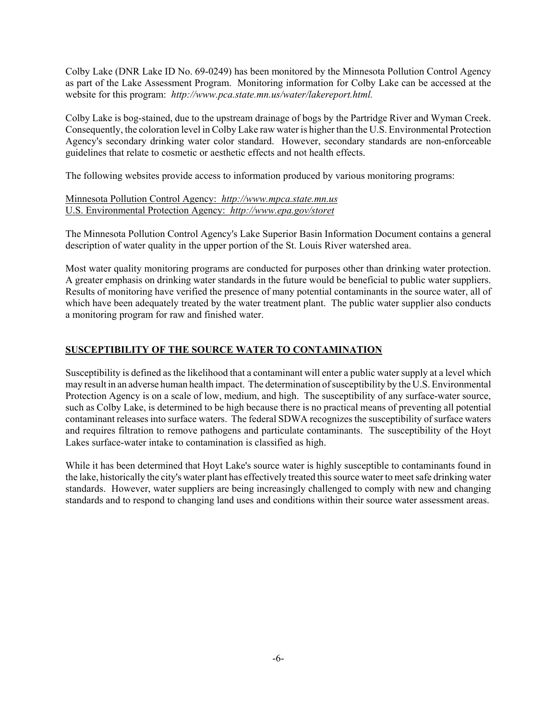Colby Lake (DNR Lake ID No. 69-0249) has been monitored by the Minnesota Pollution Control Agency as part of the Lake Assessment Program. Monitoring information for Colby Lake can be accessed at the website for this program: *http://www.pca.state.mn.us/water/lakereport.html.*

Colby Lake is bog-stained, due to the upstream drainage of bogs by the Partridge River and Wyman Creek. Consequently, the coloration level in Colby Lake raw water is higher than the U.S. Environmental Protection Agency's secondary drinking water color standard. However, secondary standards are non-enforceable guidelines that relate to cosmetic or aesthetic effects and not health effects.

The following websites provide access to information produced by various monitoring programs:

# Minnesota Pollution Control Agency: *http://www.mpca.state.mn.us* U.S. Environmental Protection Agency: *http://www.epa.gov/storet*

The Minnesota Pollution Control Agency's Lake Superior Basin Information Document contains a general description of water quality in the upper portion of the St. Louis River watershed area.

Most water quality monitoring programs are conducted for purposes other than drinking water protection. A greater emphasis on drinking water standards in the future would be beneficial to public water suppliers. Results of monitoring have verified the presence of many potential contaminants in the source water, all of which have been adequately treated by the water treatment plant. The public water supplier also conducts a monitoring program for raw and finished water.

# **SUSCEPTIBILITY OF THE SOURCE WATER TO CONTAMINATION**

Susceptibility is defined as the likelihood that a contaminant will enter a public water supply at a level which may result in an adverse human health impact. The determination of susceptibility by the U.S. Environmental Protection Agency is on a scale of low, medium, and high. The susceptibility of any surface-water source, such as Colby Lake, is determined to be high because there is no practical means of preventing all potential contaminant releases into surface waters. The federal SDWA recognizes the susceptibility of surface waters and requires filtration to remove pathogens and particulate contaminants. The susceptibility of the Hoyt Lakes surface-water intake to contamination is classified as high.

While it has been determined that Hoyt Lake's source water is highly susceptible to contaminants found in the lake, historically the city's water plant has effectively treated this source water to meet safe drinking water standards. However, water suppliers are being increasingly challenged to comply with new and changing standards and to respond to changing land uses and conditions within their source water assessment areas.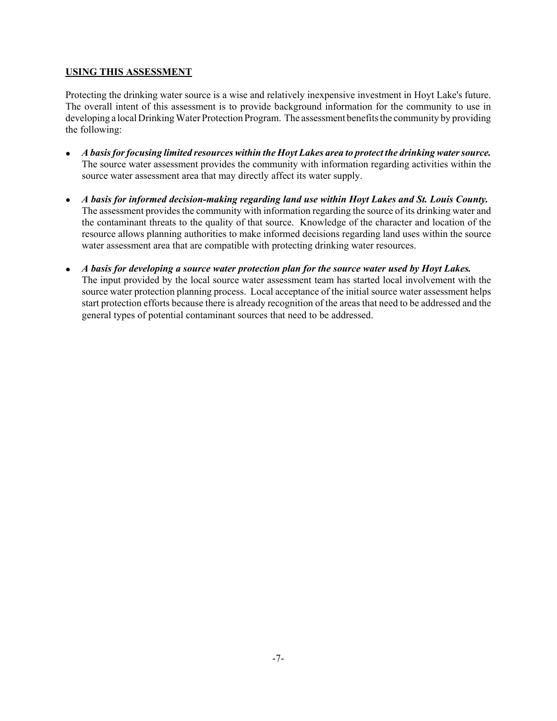# **USING THIS ASSESSMENT**

Protecting the drinking water source is a wise and relatively inexpensive investment in Hoyt Lake's future. The overall intent of this assessment is to provide background information for the community to use in developing a local Drinking Water Protection Program. The assessment benefits the community by providing the following:

- ! *A basis for focusing limited resources within the Hoyt Lakes area to protect the drinking water source.* The source water assessment provides the community with information regarding activities within the source water assessment area that may directly affect its water supply.
- ! *A basis for informed decision-making regarding land use within Hoyt Lakes and St. Louis County.* The assessment provides the community with information regarding the source of its drinking water and the contaminant threats to the quality of that source. Knowledge of the character and location of the resource allows planning authorities to make informed decisions regarding land uses within the source water assessment area that are compatible with protecting drinking water resources.
- ! *A basis for developing a source water protection plan for the source water used by Hoyt Lakes.* The input provided by the local source water assessment team has started local involvement with the source water protection planning process. Local acceptance of the initial source water assessment helps start protection efforts because there is already recognition of the areas that need to be addressed and the general types of potential contaminant sources that need to be addressed.